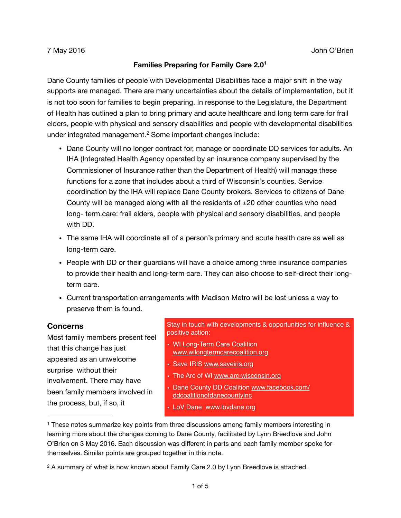## <span id="page-0-3"></span><span id="page-0-2"></span>**Families Preparing for Family Care 2.0[1](#page-0-0)**

Dane County families of people with Developmental Disabilities face a major shift in the way supports are managed. There are many uncertainties about the details of implementation, but it is not too soon for families to begin preparing. In response to the Legislature, the Department of Health has outlined a plan to bring primary and acute healthcare and long term care for frail elders, people with physical and sensory disabilities and people with developmental disabilities underintegrated management. $<sup>2</sup>$  Some important changes include:</sup>

- Dane County will no longer contract for, manage or coordinate DD services for adults. An IHA (Integrated Health Agency operated by an insurance company supervised by the Commissioner of Insurance rather than the Department of Health) will manage these functions for a zone that includes about a third of Wisconsin's counties. Service coordination by the IHA will replace Dane County brokers. Services to citizens of Dane County will be managed along with all the residents of  $\pm 20$  other counties who need long- term.care: frail elders, people with physical and sensory disabilities, and people with DD.
- The same IHA will coordinate all of a person's primary and acute health care as well as long-term care.
- People with DD or their guardians will have a choice among three insurance companies to provide their health and long-term care. They can also choose to self-direct their longterm care.
- Current transportation arrangements with Madison Metro will be lost unless a way to preserve them is found.

## **Concerns**

Most family members present feel that this change has just appeared as an unwelcome surprise without their involvement. There may have been family members involved in the process, but, if so, it

Stay in touch with developments & opportunities for influence & positive action:

- WI Long-Term Care Coalition [www.wilongtermcarecoalition.org](http://www.wilongtermcarecoalition.org)
- Save IRIS [www.saveiris.org](http://www.saveiris.org)
- The Arc of WI [www.arc-wisconsin.org](http://www.arc-wisconsin.org)
- [Dane County DD Coalition www.facebook.com/](http://www.facebook.com/ddcoalitionofdanecountyinc) ddcoalitionofdanecountyinc
- LoV Dane [www.lovdane.org](http://www.lovdane.org)

<span id="page-0-0"></span><sup>&</sup>lt;sup>[1](#page-0-2)</sup> These notes summarize key points from three discussions among family members interesting in learning more about the changes coming to Dane County, facilitated by Lynn Breedlove and John O'Brien on 3 May 2016. Each discussion was different in parts and each family member spoke for themselves. Similar points are grouped together in this note.

<span id="page-0-1"></span><sup>&</sup>lt;sup>[2](#page-0-3)</sup> A summary of what is now known about Family Care 2.0 by Lynn Breedlove is attached.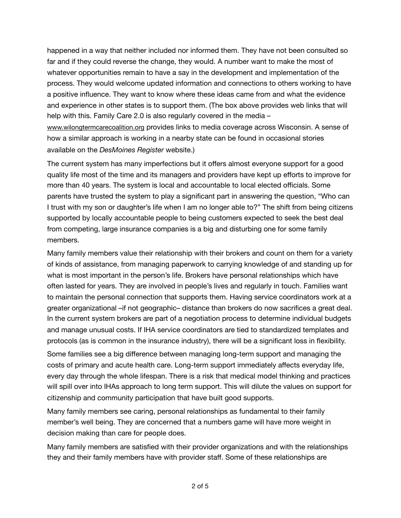happened in a way that neither included nor informed them. They have not been consulted so far and if they could reverse the change, they would. A number want to make the most of whatever opportunities remain to have a say in the development and implementation of the process. They would welcome updated information and connections to others working to have a positive influence. They want to know where these ideas came from and what the evidence and experience in other states is to support them. (The box above provides web links that will help with this. Family Care 2.0 is also regularly covered in the media –

[www.wilongtermcarecoalition.org](http://www.wilongtermcarecoalition.org) provides links to media coverage across Wisconsin. A sense of how a similar approach is working in a nearby state can be found in occasional stories available on the *DesMoines Register* website.)

The current system has many imperfections but it offers almost everyone support for a good quality life most of the time and its managers and providers have kept up efforts to improve for more than 40 years. The system is local and accountable to local elected officials. Some parents have trusted the system to play a significant part in answering the question, "Who can I trust with my son or daughter's life when I am no longer able to?" The shift from being citizens supported by locally accountable people to being customers expected to seek the best deal from competing, large insurance companies is a big and disturbing one for some family members.

Many family members value their relationship with their brokers and count on them for a variety of kinds of assistance, from managing paperwork to carrying knowledge of and standing up for what is most important in the person's life. Brokers have personal relationships which have often lasted for years. They are involved in people's lives and regularly in touch. Families want to maintain the personal connection that supports them. Having service coordinators work at a greater organizational –if not geographic– distance than brokers do now sacrifices a great deal. In the current system brokers are part of a negotiation process to determine individual budgets and manage unusual costs. If IHA service coordinators are tied to standardized templates and protocols (as is common in the insurance industry), there will be a significant loss in flexibility.

Some families see a big difference between managing long-term support and managing the costs of primary and acute health care. Long-term support immediately affects everyday life, every day through the whole lifespan. There is a risk that medical model thinking and practices will spill over into IHAs approach to long term support. This will dilute the values on support for citizenship and community participation that have built good supports.

Many family members see caring, personal relationships as fundamental to their family member's well being. They are concerned that a numbers game will have more weight in decision making than care for people does.

Many family members are satisfied with their provider organizations and with the relationships they and their family members have with provider staff. Some of these relationships are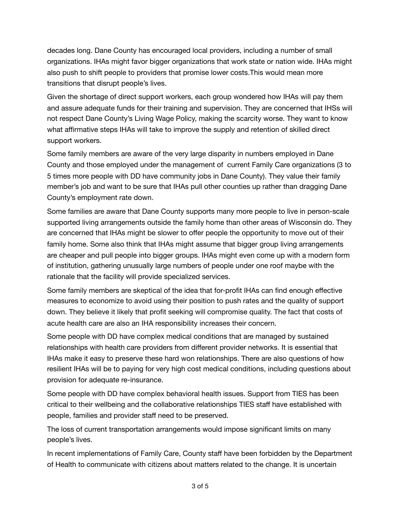decades long. Dane County has encouraged local providers, including a number of small organizations. IHAs might favor bigger organizations that work state or nation wide. IHAs might also push to shift people to providers that promise lower costs.This would mean more transitions that disrupt people's lives.

Given the shortage of direct support workers, each group wondered how IHAs will pay them and assure adequate funds for their training and supervision. They are concerned that IHSs will not respect Dane County's Living Wage Policy, making the scarcity worse. They want to know what affirmative steps IHAs will take to improve the supply and retention of skilled direct support workers.

Some family members are aware of the very large disparity in numbers employed in Dane County and those employed under the management of current Family Care organizations (3 to 5 times more people with DD have community jobs in Dane County). They value their family member's job and want to be sure that IHAs pull other counties up rather than dragging Dane County's employment rate down.

Some families are aware that Dane County supports many more people to live in person-scale supported living arrangements outside the family home than other areas of Wisconsin do. They are concerned that IHAs might be slower to offer people the opportunity to move out of their family home. Some also think that IHAs might assume that bigger group living arrangements are cheaper and pull people into bigger groups. IHAs might even come up with a modern form of institution, gathering unusually large numbers of people under one roof maybe with the rationale that the facility will provide specialized services.

Some family members are skeptical of the idea that for-profit IHAs can find enough effective measures to economize to avoid using their position to push rates and the quality of support down. They believe it likely that profit seeking will compromise quality. The fact that costs of acute health care are also an IHA responsibility increases their concern.

Some people with DD have complex medical conditions that are managed by sustained relationships with health care providers from different provider networks. It is essential that IHAs make it easy to preserve these hard won relationships. There are also questions of how resilient IHAs will be to paying for very high cost medical conditions, including questions about provision for adequate re-insurance.

Some people with DD have complex behavioral health issues. Support from TIES has been critical to their wellbeing and the collaborative relationships TIES staff have established with people, families and provider staff need to be preserved.

The loss of current transportation arrangements would impose significant limits on many people's lives.

In recent implementations of Family Care, County staff have been forbidden by the Department of Health to communicate with citizens about matters related to the change. It is uncertain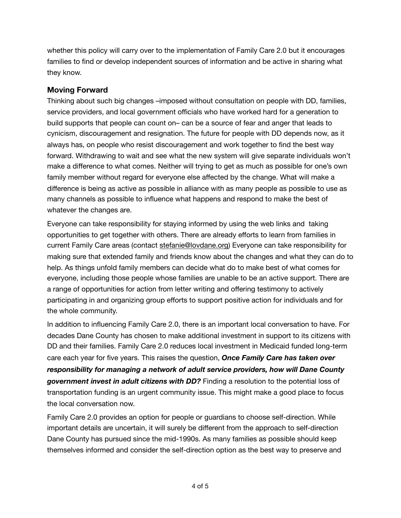whether this policy will carry over to the implementation of Family Care 2.0 but it encourages families to find or develop independent sources of information and be active in sharing what they know.

## **Moving Forward**

Thinking about such big changes –imposed without consultation on people with DD, families, service providers, and local government officials who have worked hard for a generation to build supports that people can count on– can be a source of fear and anger that leads to cynicism, discouragement and resignation. The future for people with DD depends now, as it always has, on people who resist discouragement and work together to find the best way forward. Withdrawing to wait and see what the new system will give separate individuals won't make a difference to what comes. Neither will trying to get as much as possible for one's own family member without regard for everyone else affected by the change. What will make a difference is being as active as possible in alliance with as many people as possible to use as many channels as possible to influence what happens and respond to make the best of whatever the changes are.

Everyone can take responsibility for staying informed by using the web links and taking opportunities to get together with others. There are already efforts to learn from families in current Family Care areas (contact [stefanie@lovdane.org\)](mailto:stefanie@lovdane.org) Everyone can take responsibility for making sure that extended family and friends know about the changes and what they can do to help. As things unfold family members can decide what do to make best of what comes for everyone, including those people whose families are unable to be an active support. There are a range of opportunities for action from letter writing and offering testimony to actively participating in and organizing group efforts to support positive action for individuals and for the whole community.

In addition to influencing Family Care 2.0, there is an important local conversation to have. For decades Dane County has chosen to make additional investment in support to its citizens with DD and their families. Family Care 2.0 reduces local investment in Medicaid funded long-term care each year for five years. This raises the question, *Once Family Care has taken over responsibility for managing a network of adult service providers, how will Dane County government invest in adult citizens with DD?* Finding a resolution to the potential loss of transportation funding is an urgent community issue. This might make a good place to focus the local conversation now.

Family Care 2.0 provides an option for people or guardians to choose self-direction. While important details are uncertain, it will surely be different from the approach to self-direction Dane County has pursued since the mid-1990s. As many families as possible should keep themselves informed and consider the self-direction option as the best way to preserve and